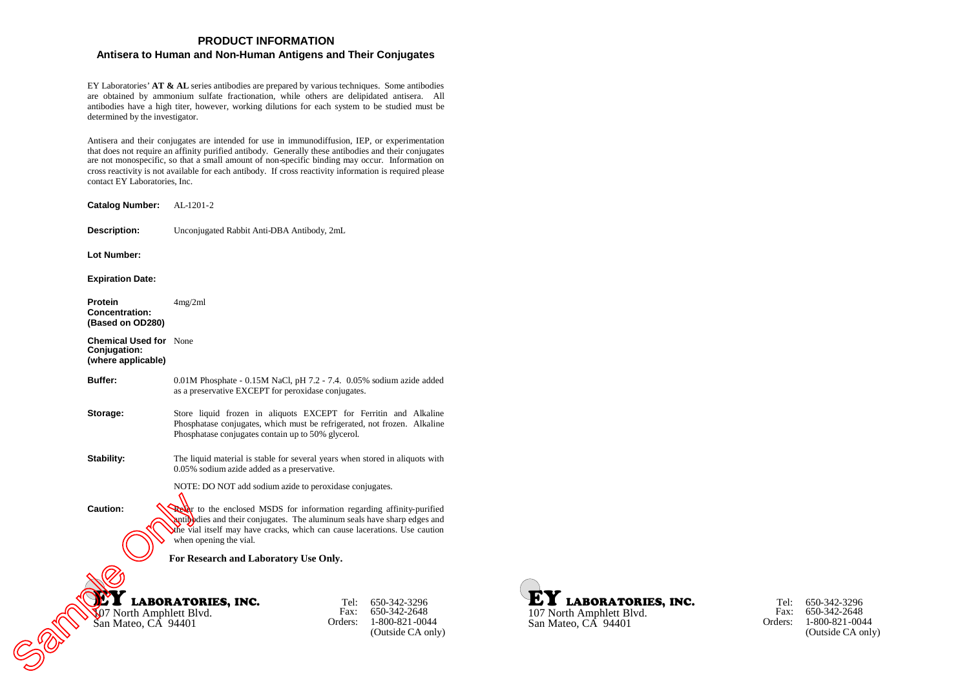# **PRODUCT INFORMATION**

# **Antisera to Human and Non-Human Antigens and Their Conjugates**

EY Laboratories'**AT & AL** series antibodies are prepared by various techniques. Some antibodies are obtained by ammonium sulfate fractionation, while others are delipidated antisera. All antibodies have a high titer, however, working dilutions for each system to be studied must be determined by the investigator.

Antisera and their conjugates are intended for use in immunodiffusion, IEP, or experimentation that does not require an affinity purified antibody. Generally these antibodies and their conjugates are not monospecific, so that a small amount of non-specific binding may occur. Information on cross reactivity is not available for each antibody. If cross reactivity information is required please contact EY Laboratories, Inc.

LABORATORIES, INC. 107 North Amphlett Blvd. San Mateo, CA 94401 Tel: 650-342-3296 Fax: Orders: 1-800-821-0044 650-342-2648 (Outside CA only) **Catalog Number:** AL-1201-2 **Description:** Unconjugated Rabbit Anti-DBA Antibody, 2mL **Lot Number: Expiration Date: Protein Concentration: (Based on OD280)** 4mg/2ml **Chemical Used for** None **Conjugation: (where applicable) Buffer:** 0.01M Phosphate - 0.15M NaCl, pH 7.2 - 7.4. 0.05% sodium azide added as a preservative EXCEPT for peroxidase conjugates. **Storage:** Store liquid frozen in aliquots EXCEPT for Ferritin and Alkaline Phosphatase conjugates, which must be refrigerated, not frozen. Alkaline Phosphatase conjugates contain up to 50% glycerol. **Stability:** The liquid material is stable for several years when stored in aliquots with 0.05% sodium azide added as a preservative. NOTE: DO NOT add sodium azide to peroxidase conjugates. **Caution:** Refer to the enclosed MSDS for information regarding affinity-purified antibodies and their conjugates. The aluminum seals have sharp edges and the vial itself may have cracks, which can cause lacerations. Use caution when opening the vial. **For Research and Laboratory Use Only.** Caution:<br>
Caution:<br>
Caution:<br>
Caution:<br>
Caution:<br>
Caution:<br>
Caution:<br>
Caution:<br>
Caution:<br>
Caution:<br>
Caution:<br>
San Mateo, CA 94401<br>
Caution:<br>
Caution:<br>
Caution:<br>
Caution:<br>
Caution:<br>
Caution:<br>
Caution:<br>
Caution:<br>
Caution:<br>
C

**LABORATORIES, INC.** 107 North Amphlett Blvd. San Mateo, CA 94401

Tel: 650-342-3296 Fax: 650-342-2648 Orders: 1-800-821-0044 (Outside CA only)